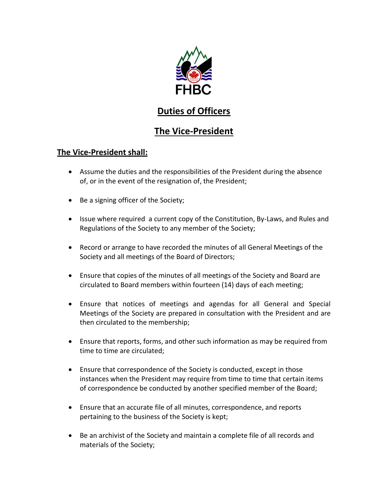

# **Duties of Officers**

## **The Vice-President**

### **The Vice-President shall:**

- Assume the duties and the responsibilities of the President during the absence of, or in the event of the resignation of, the President;
- Be a signing officer of the Society;
- Issue where required a current copy of the Constitution, By-Laws, and Rules and Regulations of the Society to any member of the Society;
- Record or arrange to have recorded the minutes of all General Meetings of the Society and all meetings of the Board of Directors;
- Ensure that copies of the minutes of all meetings of the Society and Board are circulated to Board members within fourteen (14) days of each meeting;
- Ensure that notices of meetings and agendas for all General and Special Meetings of the Society are prepared in consultation with the President and are then circulated to the membership;
- Ensure that reports, forms, and other such information as may be required from time to time are circulated;
- Ensure that correspondence of the Society is conducted, except in those instances when the President may require from time to time that certain items of correspondence be conducted by another specified member of the Board;
- Ensure that an accurate file of all minutes, correspondence, and reports pertaining to the business of the Society is kept;
- Be an archivist of the Society and maintain a complete file of all records and materials of the Society;